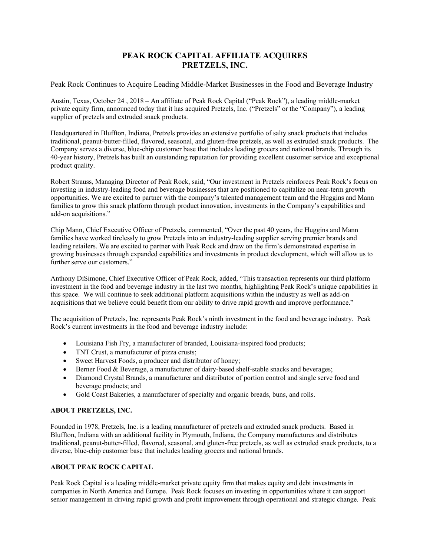## **PEAK ROCK CAPITAL AFFILIATE ACQUIRES PRETZELS, INC.**

Peak Rock Continues to Acquire Leading Middle-Market Businesses in the Food and Beverage Industry

Austin, Texas, October 24 , 2018 – An affiliate of Peak Rock Capital ("Peak Rock"), a leading middle-market private equity firm, announced today that it has acquired Pretzels, Inc. ("Pretzels" or the "Company"), a leading supplier of pretzels and extruded snack products.

Headquartered in Bluffton, Indiana, Pretzels provides an extensive portfolio of salty snack products that includes traditional, peanut-butter-filled, flavored, seasonal, and gluten-free pretzels, as well as extruded snack products. The Company serves a diverse, blue-chip customer base that includes leading grocers and national brands. Through its 40-year history, Pretzels has built an outstanding reputation for providing excellent customer service and exceptional product quality.

Robert Strauss, Managing Director of Peak Rock, said, "Our investment in Pretzels reinforces Peak Rock's focus on investing in industry-leading food and beverage businesses that are positioned to capitalize on near-term growth opportunities. We are excited to partner with the company's talented management team and the Huggins and Mann families to grow this snack platform through product innovation, investments in the Company's capabilities and add-on acquisitions."

Chip Mann, Chief Executive Officer of Pretzels, commented, "Over the past 40 years, the Huggins and Mann families have worked tirelessly to grow Pretzels into an industry-leading supplier serving premier brands and leading retailers. We are excited to partner with Peak Rock and draw on the firm's demonstrated expertise in growing businesses through expanded capabilities and investments in product development, which will allow us to further serve our customers."

Anthony DiSimone, Chief Executive Officer of Peak Rock, added, "This transaction represents our third platform investment in the food and beverage industry in the last two months, highlighting Peak Rock's unique capabilities in this space. We will continue to seek additional platform acquisitions within the industry as well as add-on acquisitions that we believe could benefit from our ability to drive rapid growth and improve performance."

The acquisition of Pretzels, Inc. represents Peak Rock's ninth investment in the food and beverage industry. Peak Rock's current investments in the food and beverage industry include:

- Louisiana Fish Fry, a manufacturer of branded, Louisiana-inspired food products;
- TNT Crust, a manufacturer of pizza crusts;
- Sweet Harvest Foods, a producer and distributor of honey;
- Berner Food & Beverage, a manufacturer of dairy-based shelf-stable snacks and beverages;
- Diamond Crystal Brands, a manufacturer and distributor of portion control and single serve food and beverage products; and
- Gold Coast Bakeries, a manufacturer of specialty and organic breads, buns, and rolls.

## **ABOUT PRETZELS, INC.**

Founded in 1978, Pretzels, Inc. is a leading manufacturer of pretzels and extruded snack products. Based in Bluffton, Indiana with an additional facility in Plymouth, Indiana, the Company manufactures and distributes traditional, peanut-butter-filled, flavored, seasonal, and gluten-free pretzels, as well as extruded snack products, to a diverse, blue-chip customer base that includes leading grocers and national brands.

## **ABOUT PEAK ROCK CAPITAL**

Peak Rock Capital is a leading middle-market private equity firm that makes equity and debt investments in companies in North America and Europe. Peak Rock focuses on investing in opportunities where it can support senior management in driving rapid growth and profit improvement through operational and strategic change. Peak